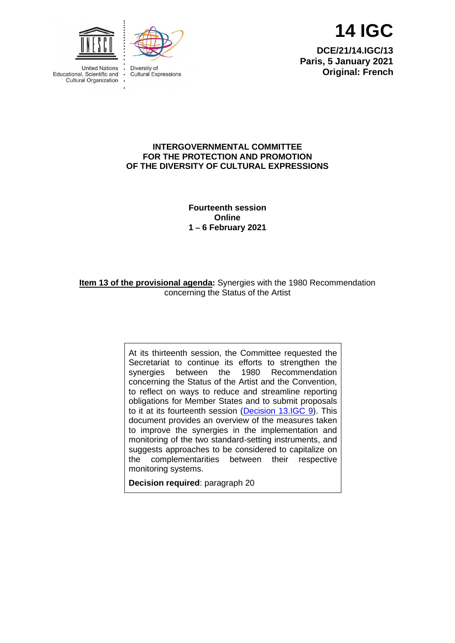



**Cultural Expressions** 



**14 IGC**

**DCE/21/14.IGC/13 Paris, 5 January 2021 Original: French**

### **INTERGOVERNMENTAL COMMITTEE FOR THE PROTECTION AND PROMOTION OF THE DIVERSITY OF CULTURAL EXPRESSIONS**

**Fourteenth session Online 1 – 6 February 2021**

**Item 13 of the provisional agenda:** Synergies with the 1980 Recommendation concerning the Status of the Artist

> At its thirteenth session, the Committee requested the Secretariat to continue its efforts to strengthen the synergies between the 1980 Recommendation synergies between the concerning the Status of the Artist and the Convention, to reflect on ways to reduce and streamline reporting obligations for Member States and to submit proposals to it at its fourteenth session [\(Decision 13.IGC 9\)](https://en.unesco.org/creativity/sites/creativity/files/sessions/13igc_decisions_en.pdf). This document provides an overview of the measures taken to improve the synergies in the implementation and monitoring of the two standard-setting instruments, and suggests approaches to be considered to capitalize on the complementarities between their respective monitoring systems.

**Decision required**: paragraph 20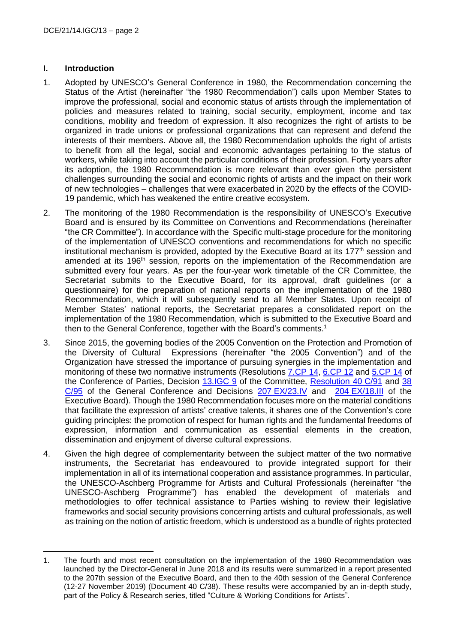## **I. Introduction**

- 1. Adopted by UNESCO's General Conference in 1980, the Recommendation concerning the Status of the Artist (hereinafter "the 1980 Recommendation") calls upon Member States to improve the professional, social and economic status of artists through the implementation of policies and measures related to training, social security, employment, income and tax conditions, mobility and freedom of expression. It also recognizes the right of artists to be organized in trade unions or professional organizations that can represent and defend the interests of their members. Above all, the 1980 Recommendation upholds the right of artists to benefit from all the legal, social and economic advantages pertaining to the status of workers, while taking into account the particular conditions of their profession. Forty years after its adoption, the 1980 Recommendation is more relevant than ever given the persistent challenges surrounding the social and economic rights of artists and the impact on their work of new technologies – challenges that were exacerbated in 2020 by the effects of the COVID-19 pandemic, which has weakened the entire creative ecosystem.
- 2. The monitoring of the 1980 Recommendation is the responsibility of UNESCO's Executive Board and is ensured by its Committee on Conventions and Recommendations (hereinafter "the CR Committee"). In accordance with the Specific multi-stage procedure for the monitoring of the implementation of UNESCO conventions and recommendations for which no specific institutional mechanism is provided, adopted by the Executive Board at its 177<sup>th</sup> session and amended at its 196<sup>th</sup> session, reports on the implementation of the Recommendation are submitted every four years. As per the four-year work timetable of the CR Committee, the Secretariat submits to the Executive Board, for its approval, draft guidelines (or a questionnaire) for the preparation of national reports on the implementation of the 1980 Recommendation, which it will subsequently send to all Member States. Upon receipt of Member States' national reports, the Secretariat prepares a consolidated report on the implementation of the 1980 Recommendation, which is submitted to the Executive Board and then to the General Conference, together with the Board's comments.<sup>1</sup>
- 3. Since 2015, the governing bodies of the 2005 Convention on the Protection and Promotion of the Diversity of Cultural Expressions (hereinafter "the 2005 Convention") and of the Organization have stressed the importance of pursuing synergies in the implementation and monitoring of these two normative instruments (Resolutions [7.CP](https://en.unesco.org/creativity/sites/creativity/files/sessions/7cp_resolutions_en.pdf) 14, [6.CP](https://en.unesco.org/creativity/sites/creativity/files/sessions/resolutions_6cp_en.pdf) 12 and [5.CP](https://en.unesco.org/creativity/sites/creativity/files/sessions/resolutions_5cp_en.pdf) 14 of the Conference of Parties, Decision [13.IGC 9](https://en.unesco.org/creativity/sites/creativity/files/sessions/13igc_decisions_en.pdf) of the Committee, [Resolution 40](https://unesdoc.unesco.org/ark:/48223/pf0000372579) C/91 and 38 [C/95](https://unesdoc.unesco.org/ark:/48223/pf0000243325) of the General Conference and Decisions 207 [EX/23.IV](https://unesdoc.unesco.org/ark:/48223/pf0000371293/PDF/371293eng.pdf.multi) and 204 [EX/18.III](https://unesdoc.unesco.org/ark:/48223/pf0000262851) of the Executive Board). Though the 1980 Recommendation focuses more on the material conditions that facilitate the expression of artists' creative talents, it shares one of the Convention's core guiding principles: the promotion of respect for human rights and the fundamental freedoms of expression, information and communication as essential elements in the creation, dissemination and enjoyment of diverse cultural expressions.
- 4. Given the high degree of complementarity between the subject matter of the two normative instruments, the Secretariat has endeavoured to provide integrated support for their implementation in all of its international cooperation and assistance programmes. In particular, the UNESCO-Aschberg Programme for Artists and Cultural Professionals (hereinafter "the UNESCO-Aschberg Programme") has enabled the development of materials and methodologies to offer technical assistance to Parties wishing to review their legislative frameworks and social security provisions concerning artists and cultural professionals, as well as training on the notion of artistic freedom, which is understood as a bundle of rights protected

<sup>1.</sup> The fourth and most recent consultation on the implementation of the 1980 Recommendation was launched by the Director-General in June 2018 and its results were summarized in a report presented to the 207th session of the Executive Board, and then to the 40th session of the General Conference (12-27 November 2019) [\(Document 40 C/38\)](https://unesdoc.unesco.org/ark:/48223/pf0000371418). These results were accompanied by an in-depth study, part of the Policy & Research series, titled ["Culture & Working Conditions for Artists"](https://unesdoc.unesco.org/ark:/48223/pf0000371790).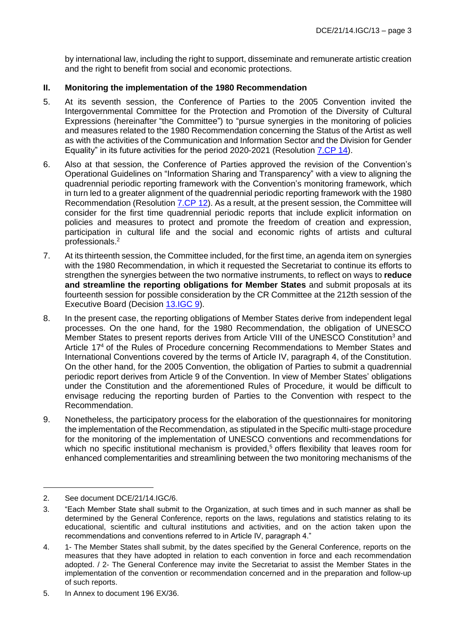by international law, including the right to support, disseminate and remunerate artistic creation and the right to benefit from social and economic protections.

# **II. Monitoring the implementation of the 1980 Recommendation**

- 5. At its seventh session, the Conference of Parties to the 2005 Convention invited the Intergovernmental Committee for the Protection and Promotion of the Diversity of Cultural Expressions (hereinafter "the Committee") to "pursue synergies in the monitoring of policies and measures related to the 1980 Recommendation concerning the Status of the Artist as well as with the activities of the Communication and Information Sector and the Division for Gender Equality" in its future activities for the period 2020-2021 (Resolution [7.CP 14\)](https://en.unesco.org/creativity/sites/creativity/files/sessions/7cp_resolutions_en.pdf).
- 6. Also at that session, the Conference of Parties approved the revision of the Convention's Operational Guidelines on "Information Sharing and Transparency" with a view to aligning the quadrennial periodic reporting framework with the Convention's monitoring framework, which in turn led to a greater alignment of the quadrennial periodic reporting framework with the 1980 Recommendation (Resolution [7.CP](https://en.unesco.org/creativity/sites/creativity/files/sessions/7cp_resolutions_en.pdf) 12). As a result, at the present session, the Committee will consider for the first time quadrennial periodic reports that include explicit information on policies and measures to protect and promote the freedom of creation and expression, participation in cultural life and the social and economic rights of artists and cultural professionals.<sup>2</sup>
- 7. At its thirteenth session, the Committee included, for the first time, an agenda item on synergies with the 1980 Recommendation, in which it requested the Secretariat to continue its efforts to strengthen the synergies between the two normative instruments, to reflect on ways to **reduce and streamline the reporting obligations for Member States** and submit proposals at its fourteenth session for possible consideration by the CR Committee at the 212th session of the Executive Board (Decision [13.IGC 9\)](https://en.unesco.org/creativity/sites/creativity/files/sessions/13igc_decisions_en.pdf).
- 8. In the present case, the reporting obligations of Member States derive from independent legal processes. On the one hand, for the 1980 Recommendation, the obligation of UNESCO Member States to present reports derives from Article VIII of the UNESCO Constitution<sup>3</sup> and Article 17<sup>4</sup> of the Rules of Procedure concerning Recommendations to Member States and International Conventions covered by the terms of Article IV, paragraph 4, of the Constitution. On the other hand, for the 2005 Convention, the obligation of Parties to submit a quadrennial periodic report derives from Article 9 of the Convention. In view of Member States' obligations under the Constitution and the aforementioned Rules of Procedure, it would be difficult to envisage reducing the reporting burden of Parties to the Convention with respect to the Recommendation.
- 9. Nonetheless, the participatory process for the elaboration of the questionnaires for monitoring the implementation of the Recommendation, as stipulated in the Specific multi-stage procedure for the monitoring of the implementation of UNESCO conventions and recommendations for which no specific institutional mechanism is provided,<sup>5</sup> offers flexibility that leaves room for enhanced complementarities and streamlining between the two monitoring mechanisms of the

<sup>2.</sup> See document DCE/21/14.IGC/6.

<sup>3.</sup> "Each Member State shall submit to the Organization, at such times and in such manner as shall be determined by the General Conference, reports on the laws, regulations and statistics relating to its educational, scientific and cultural institutions and activities, and on the action taken upon the recommendations and conventions referred to in Article IV, paragraph 4."

<sup>4.</sup> 1- The Member States shall submit, by the dates specified by the General Conference, reports on the measures that they have adopted in relation to each convention in force and each recommendation adopted. / 2- The General Conference may invite the Secretariat to assist the Member States in the implementation of the convention or recommendation concerned and in the preparation and follow-up of such reports.

<sup>5.</sup> In Annex to document [196 EX/36.](https://unesdoc.unesco.org/ark:/48223/pf0000232740)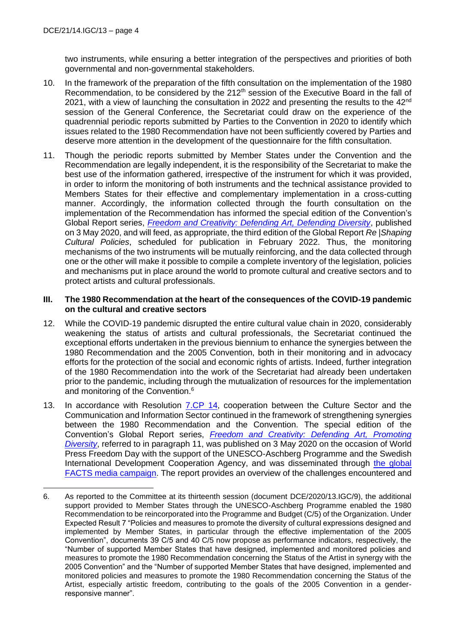two instruments, while ensuring a better integration of the perspectives and priorities of both governmental and non-governmental stakeholders.

- 10. In the framework of the preparation of the fifth consultation on the implementation of the 1980 Recommendation, to be considered by the 212<sup>th</sup> session of the Executive Board in the fall of 2021, with a view of launching the consultation in 2022 and presenting the results to the 42<sup>nd</sup> session of the General Conference, the Secretariat could draw on the experience of the quadrennial periodic reports submitted by Parties to the Convention in 2020 to identify which issues related to the 1980 Recommendation have not been sufficiently covered by Parties and deserve more attention in the development of the questionnaire for the fifth consultation.
- 11. Though the periodic reports submitted by Member States under the Convention and the Recommendation are legally independent, it is the responsibility of the Secretariat to make the best use of the information gathered, irrespective of the instrument for which it was provided, in order to inform the monitoring of both instruments and the technical assistance provided to Members States for their effective and complementary implementation in a cross-cutting manner. Accordingly, the information collected through the fourth consultation on the implementation of the Recommendation has informed the special edition of the Convention's Global Report series, *[Freedom and Creativity: Defending Art, Defending Diversity](https://unesdoc.unesco.org/ark:/48223/pf0000373357)*, published on 3 May 2020, and will feed, as appropriate, the third edition of the Global Report *Re |Shaping Cultural Policies*, scheduled for publication in February 2022. Thus, the monitoring mechanisms of the two instruments will be mutually reinforcing, and the data collected through one or the other will make it possible to compile a complete inventory of the legislation, policies and mechanisms put in place around the world to promote cultural and creative sectors and to protect artists and cultural professionals.

#### **III. The 1980 Recommendation at the heart of the consequences of the COVID-19 pandemic on the cultural and creative sectors**

- 12. While the COVID-19 pandemic disrupted the entire cultural value chain in 2020, considerably weakening the status of artists and cultural professionals, the Secretariat continued the exceptional efforts undertaken in the previous biennium to enhance the synergies between the 1980 Recommendation and the 2005 Convention, both in their monitoring and in advocacy efforts for the protection of the social and economic rights of artists. Indeed, further integration of the 1980 Recommendation into the work of the Secretariat had already been undertaken prior to the pandemic, including through the mutualization of resources for the implementation and monitoring of the Convention.<sup>6</sup>
- 13. In accordance with Resolution [7.CP 14,](https://en.unesco.org/creativity/sites/creativity/files/sessions/7cp_resolutions_en.pdf) cooperation between the Culture Sector and the Communication and Information Sector continued in the framework of strengthening synergies between the 1980 Recommendation and the Convention. The special edition of the Convention's Global Report series, *Freedom [and Creativity: Defending Art, Promoting](https://unesdoc.unesco.org/ark:/48223/pf0000373357)  [Diversity](https://unesdoc.unesco.org/ark:/48223/pf0000373357)*, referred to in paragraph 11, was published on 3 May 2020 on the occasion of World Press Freedom Day with the support of the UNESCO-Aschberg Programme and the Swedish International Development Cooperation Agency, and was disseminated through [the global](https://en.unesco.org/commemorations/worldpressfreedomday/facts-campaign)  [FACTS media campaign.](https://en.unesco.org/commemorations/worldpressfreedomday/facts-campaign) The report provides an overview of the challenges encountered and

<sup>6.</sup> As reported to the Committee at its thirteenth session (document [DCE/2020/13.IGC/9\)](https://en.unesco.org/creativity/sites/creativity/files/sessions/13igc_9_synergies_1980_rec_en.pdf), the additional support provided to Member States through the UNESCO-Aschberg Programme enabled the 1980 Recommendation to be reincorporated into the Programme and Budget (C/5) of the Organization. Under Expected Result 7 "Policies and measures to promote the diversity of cultural expressions designed and implemented by Member States, in particular through the effective implementation of the 2005 Convention", documents 39 C/5 and 40 C/5 now propose as performance indicators, respectively, the "Number of supported Member States that have designed, implemented and monitored policies and measures to promote the 1980 Recommendation concerning the Status of the Artist in synergy with the 2005 Convention" and the "Number of supported Member States that have designed, implemented and monitored policies and measures to promote the 1980 Recommendation concerning the Status of the Artist, especially artistic freedom, contributing to the goals of the 2005 Convention in a genderresponsive manner".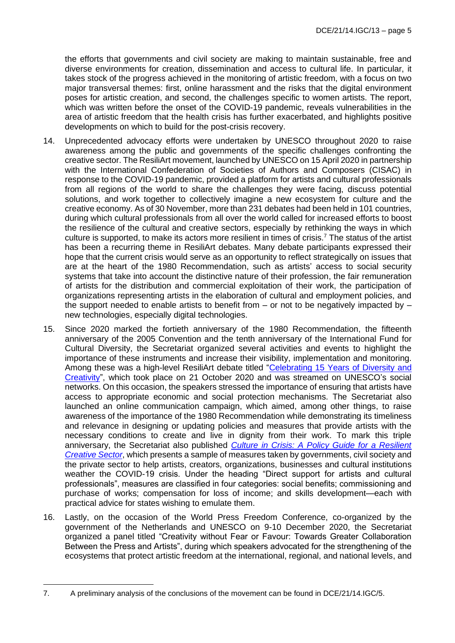the efforts that governments and civil society are making to maintain sustainable, free and diverse environments for creation, dissemination and access to cultural life. In particular, it takes stock of the progress achieved in the monitoring of artistic freedom, with a focus on two major transversal themes: first, online harassment and the risks that the digital environment poses for artistic creation, and second, the challenges specific to women artists. The report, which was written before the onset of the COVID-19 pandemic, reveals vulnerabilities in the area of artistic freedom that the health crisis has further exacerbated, and highlights positive developments on which to build for the post-crisis recovery.

- 14. Unprecedented advocacy efforts were undertaken by UNESCO throughout 2020 to raise awareness among the public and governments of the specific challenges confronting the creative sector. The ResiliArt movement, launched by UNESCO on 15 April 2020 in partnership with the International Confederation of Societies of Authors and Composers (CISAC) in response to the COVID-19 pandemic, provided a platform for artists and cultural professionals from all regions of the world to share the challenges they were facing, discuss potential solutions, and work together to collectively imagine a new ecosystem for culture and the creative economy. As of 30 November, more than 231 debates had been held in 101 countries, during which cultural professionals from all over the world called for increased efforts to boost the resilience of the cultural and creative sectors, especially by rethinking the ways in which culture is supported, to make its actors more resilient in times of crisis.<sup>7</sup> The status of the artist has been a recurring theme in ResiliArt debates. Many debate participants expressed their hope that the current crisis would serve as an opportunity to reflect strategically on issues that are at the heart of the 1980 Recommendation, such as artists' access to social security systems that take into account the distinctive nature of their profession, the fair remuneration of artists for the distribution and commercial exploitation of their work, the participation of organizations representing artists in the elaboration of cultural and employment policies, and the support needed to enable artists to benefit from  $-$  or not to be negatively impacted by  $$ new technologies, especially digital technologies.
- 15. Since 2020 marked the fortieth anniversary of the 1980 Recommendation, the fifteenth anniversary of the 2005 Convention and the tenth anniversary of the International Fund for Cultural Diversity, the Secretariat organized several activities and events to highlight the importance of these instruments and increase their visibility, implementation and monitoring. Among these was a high-level ResiliArt debate titled "Celebrating 15 Years of Diversity and [Creativity"](https://www.youtube.com/watch?v=H1RN1dOxpes), which took place on 21 October 2020 and was streamed on UNESCO's social networks. On this occasion, the speakers stressed the importance of ensuring that artists have access to appropriate economic and social protection mechanisms. The Secretariat also launched an online communication campaign, which aimed, among other things, to raise awareness of the importance of the 1980 Recommendation while demonstrating its timeliness and relevance in designing or updating policies and measures that provide artists with the necessary conditions to create and live in dignity from their work. To mark this triple anniversary, the Secretariat also published *[Culture in Crisis: A Policy Guide for a Resilient](https://unesdoc.unesco.org/ark:/48223/pf0000374631)  [Creative Sector](https://unesdoc.unesco.org/ark:/48223/pf0000374631)*, which presents a sample of measures taken by governments, civil society and the private sector to help artists, creators, organizations, businesses and cultural institutions weather the COVID-19 crisis. Under the heading "Direct support for artists and cultural professionals", measures are classified in four categories: social benefits; commissioning and purchase of works; compensation for loss of income; and skills development—each with practical advice for states wishing to emulate them.
- 16. Lastly, on the occasion of the World Press Freedom Conference, co-organized by the government of the Netherlands and UNESCO on 9-10 December 2020, the Secretariat organized a panel titled "Creativity without Fear or Favour: Towards Greater Collaboration Between the Press and Artists", during which speakers advocated for the strengthening of the ecosystems that protect artistic freedom at the international, regional, and national levels, and

<sup>7.</sup> A preliminary analysis of the conclusions of the movement can be found in DCE/21/14.IGC/5.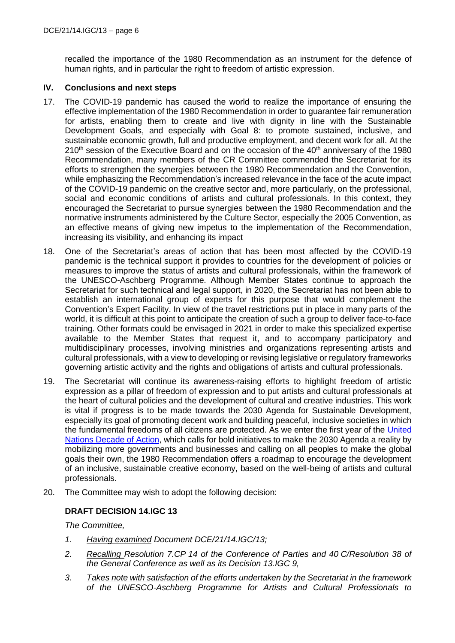recalled the importance of the 1980 Recommendation as an instrument for the defence of human rights, and in particular the right to freedom of artistic expression.

## **IV. Conclusions and next steps**

- 17. The COVID-19 pandemic has caused the world to realize the importance of ensuring the effective implementation of the 1980 Recommendation in order to guarantee fair remuneration for artists, enabling them to create and live with dignity in line with the Sustainable Development Goals, and especially with Goal 8: to promote sustained, inclusive, and sustainable economic growth, full and productive employment, and decent work for all. At the  $210<sup>th</sup>$  session of the Executive Board and on the occasion of the  $40<sup>th</sup>$  anniversary of the 1980 Recommendation, many members of the CR Committee commended the Secretariat for its efforts to strengthen the synergies between the 1980 Recommendation and the Convention, while emphasizing the Recommendation's increased relevance in the face of the acute impact of the COVID-19 pandemic on the creative sector and, more particularly, on the professional, social and economic conditions of artists and cultural professionals. In this context, they encouraged the Secretariat to pursue synergies between the 1980 Recommendation and the normative instruments administered by the Culture Sector, especially the 2005 Convention, as an effective means of giving new impetus to the implementation of the Recommendation, increasing its visibility, and enhancing its impact
- 18. One of the Secretariat's areas of action that has been most affected by the COVID-19 pandemic is the technical support it provides to countries for the development of policies or measures to improve the status of artists and cultural professionals, within the framework of the UNESCO-Aschberg Programme. Although Member States continue to approach the Secretariat for such technical and legal support, in 2020, the Secretariat has not been able to establish an international group of experts for this purpose that would complement the Convention's Expert Facility. In view of the travel restrictions put in place in many parts of the world, it is difficult at this point to anticipate the creation of such a group to deliver face-to-face training. Other formats could be envisaged in 2021 in order to make this specialized expertise available to the Member States that request it, and to accompany participatory and multidisciplinary processes, involving ministries and organizations representing artists and cultural professionals, with a view to developing or revising legislative or regulatory frameworks governing artistic activity and the rights and obligations of artists and cultural professionals.
- 19. The Secretariat will continue its awareness-raising efforts to highlight freedom of artistic expression as a pillar of freedom of expression and to put artists and cultural professionals at the heart of cultural policies and the development of cultural and creative industries. This work is vital if progress is to be made towards the 2030 Agenda for Sustainable Development, especially its goal of promoting decent work and building peaceful, inclusive societies in which the fundamental freedoms of all citizens are protected. As we enter the first year of the [United](https://www.un.org/sustainabledevelopment/decade-of-action/)  [Nations Decade of Action,](https://www.un.org/sustainabledevelopment/decade-of-action/) which calls for bold initiatives to make the 2030 Agenda a reality by mobilizing more governments and businesses and calling on all peoples to make the global goals their own, the 1980 Recommendation offers a roadmap to encourage the development of an inclusive, sustainable creative economy, based on the well-being of artists and cultural professionals.
- 20. The Committee may wish to adopt the following decision:

## **DRAFT DECISION 14.IGC 13**

*The Committee,*

- *1. Having examined Document DCE/21/14.IGC/13;*
- *2. Recalling Resolution 7.CP 14 of the Conference of Parties and 40 C/Resolution 38 of the General Conference as well as its Decision 13.IGC 9,*
- *3. Takes note with satisfaction of the efforts undertaken by the Secretariat in the framework of the UNESCO-Aschberg Programme for Artists and Cultural Professionals to*